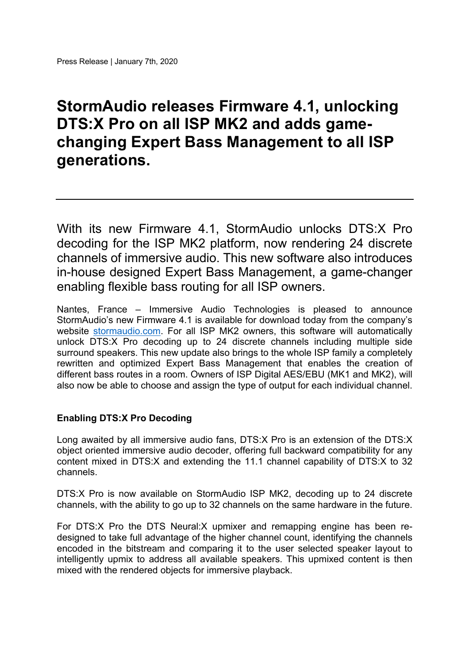# **StormAudio releases Firmware 4.1, unlocking DTS:X Pro on all ISP MK2 and adds gamechanging Expert Bass Management to all ISP generations.**

With its new Firmware 4.1, StormAudio unlocks DTS:X Pro decoding for the ISP MK2 platform, now rendering 24 discrete channels of immersive audio. This new software also introduces in-house designed Expert Bass Management, a game-changer enabling flexible bass routing for all ISP owners.

Nantes, France – Immersive Audio Technologies is pleased to announce StormAudio's new Firmware 4.1 is available for download today from the company's website stormaudio.com. For all ISP MK2 owners, this software will automatically unlock DTS:X Pro decoding up to 24 discrete channels including multiple side surround speakers. This new update also brings to the whole ISP family a completely rewritten and optimized Expert Bass Management that enables the creation of different bass routes in a room. Owners of ISP Digital AES/EBU (MK1 and MK2), will also now be able to choose and assign the type of output for each individual channel.

## **Enabling DTS:X Pro Decoding**

Long awaited by all immersive audio fans, DTS:X Pro is an extension of the DTS:X object oriented immersive audio decoder, offering full backward compatibility for any content mixed in DTS:X and extending the 11.1 channel capability of DTS:X to 32 channels.

DTS:X Pro is now available on StormAudio ISP MK2, decoding up to 24 discrete channels, with the ability to go up to 32 channels on the same hardware in the future.

For DTS:X Pro the DTS Neural:X upmixer and remapping engine has been redesigned to take full advantage of the higher channel count, identifying the channels encoded in the bitstream and comparing it to the user selected speaker layout to intelligently upmix to address all available speakers. This upmixed content is then mixed with the rendered objects for immersive playback.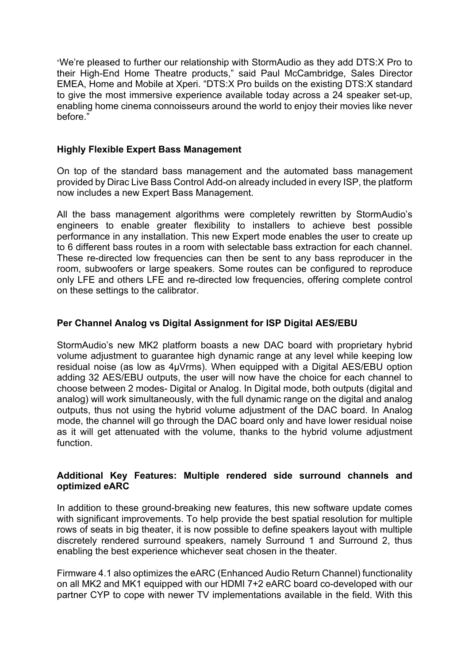"We're pleased to further our relationship with StormAudio as they add DTS:X Pro to their High-End Home Theatre products," said Paul McCambridge, Sales Director EMEA, Home and Mobile at Xperi. "DTS:X Pro builds on the existing DTS:X standard to give the most immersive experience available today across a 24 speaker set-up, enabling home cinema connoisseurs around the world to enjoy their movies like never before."

#### **Highly Flexible Expert Bass Management**

On top of the standard bass management and the automated bass management provided by Dirac Live Bass Control Add-on already included in every ISP, the platform now includes a new Expert Bass Management.

All the bass management algorithms were completely rewritten by StormAudio's engineers to enable greater flexibility to installers to achieve best possible performance in any installation. This new Expert mode enables the user to create up to 6 different bass routes in a room with selectable bass extraction for each channel. These re-directed low frequencies can then be sent to any bass reproducer in the room, subwoofers or large speakers. Some routes can be configured to reproduce only LFE and others LFE and re-directed low frequencies, offering complete control on these settings to the calibrator.

#### **Per Channel Analog vs Digital Assignment for ISP Digital AES/EBU**

StormAudio's new MK2 platform boasts a new DAC board with proprietary hybrid volume adjustment to guarantee high dynamic range at any level while keeping low residual noise (as low as 4µVrms). When equipped with a Digital AES/EBU option adding 32 AES/EBU outputs, the user will now have the choice for each channel to choose between 2 modes- Digital or Analog. In Digital mode, both outputs (digital and analog) will work simultaneously, with the full dynamic range on the digital and analog outputs, thus not using the hybrid volume adjustment of the DAC board. In Analog mode, the channel will go through the DAC board only and have lower residual noise as it will get attenuated with the volume, thanks to the hybrid volume adjustment function.

#### **Additional Key Features: Multiple rendered side surround channels and optimized eARC**

In addition to these ground-breaking new features, this new software update comes with significant improvements. To help provide the best spatial resolution for multiple rows of seats in big theater, it is now possible to define speakers layout with multiple discretely rendered surround speakers, namely Surround 1 and Surround 2, thus enabling the best experience whichever seat chosen in the theater.

Firmware 4.1 also optimizes the eARC (Enhanced Audio Return Channel) functionality on all MK2 and MK1 equipped with our HDMI 7+2 eARC board co-developed with our partner CYP to cope with newer TV implementations available in the field. With this